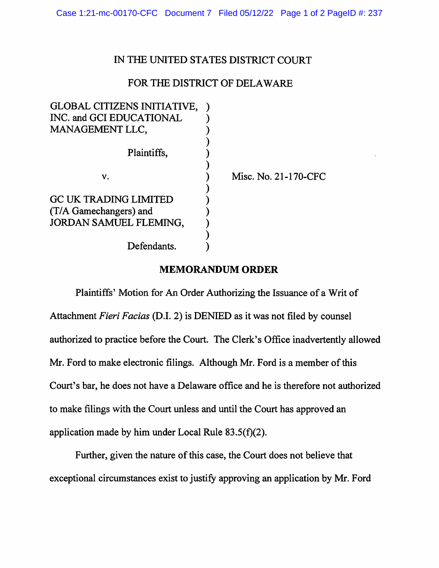## IN THE UNITED STATES DISTRICT COURT

## FOR THE DISTRICT OF DELAWARE

| GLOBAL CITIZENS INITIATIVE,  |                      |
|------------------------------|----------------------|
| INC. and GCI EDUCATIONAL     |                      |
| MANAGEMENT LLC,              |                      |
|                              |                      |
| Plaintiffs,                  |                      |
|                              |                      |
| v.                           | Misc. No. 21-170-CFC |
|                              |                      |
| <b>GC UK TRADING LIMITED</b> |                      |
| (T/A Gamechangers) and       |                      |
| JORDAN SAMUEL FLEMING,       |                      |
|                              |                      |
| Defendants.                  |                      |
|                              |                      |

## **MEMORANDUM ORDER**

Plaintiffs' Motion for An Order Authorizing the Issuance of a Writ of Attachment *Fieri Facias* (D.1. 2) is DENIED as it was not filed by counsel authorized to practice before the Court. The Clerk's Office inadvertently allowed Mr. Ford to make electronic filings. Although Mr. Ford is a member of this Court's bar, he does not have a Delaware office and he is therefore not authorized to make filings with the Court unless and until the Court has approved an application made by him under Local Rule 83.5(f)(2).

Further, given the nature of this case, the Court does not believe that exceptional circumstances exist to justify approving an application by Mr. Ford